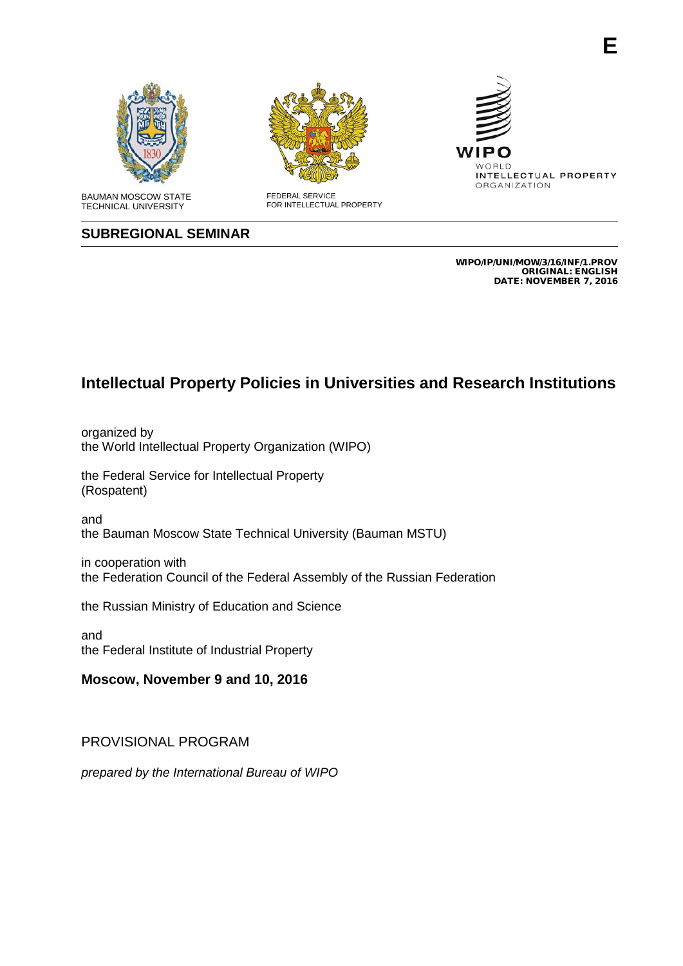

TECHNICAL UNIVERSITY







**E**

### **SUBREGIONAL SEMINAR**

WIPO/IP/UNI/MOW/3/16/INF/1.PROV ORIGINAL: ENGLISH DATE: NOVEMBER 7, 2016

# **Intellectual Property Policies in Universities and Research Institutions**

organized by the World Intellectual Property Organization (WIPO)

the Federal Service for Intellectual Property (Rospatent)

and the Bauman Moscow State Technical University (Bauman MSTU)

in cooperation with the Federation Council of the Federal Assembly of the Russian Federation

the Russian Ministry of Education and Science

and the Federal Institute of Industrial Property

**Moscow, November 9 and 10, 2016**

#### PROVISIONAL PROGRAM

*prepared by the International Bureau of WIPO*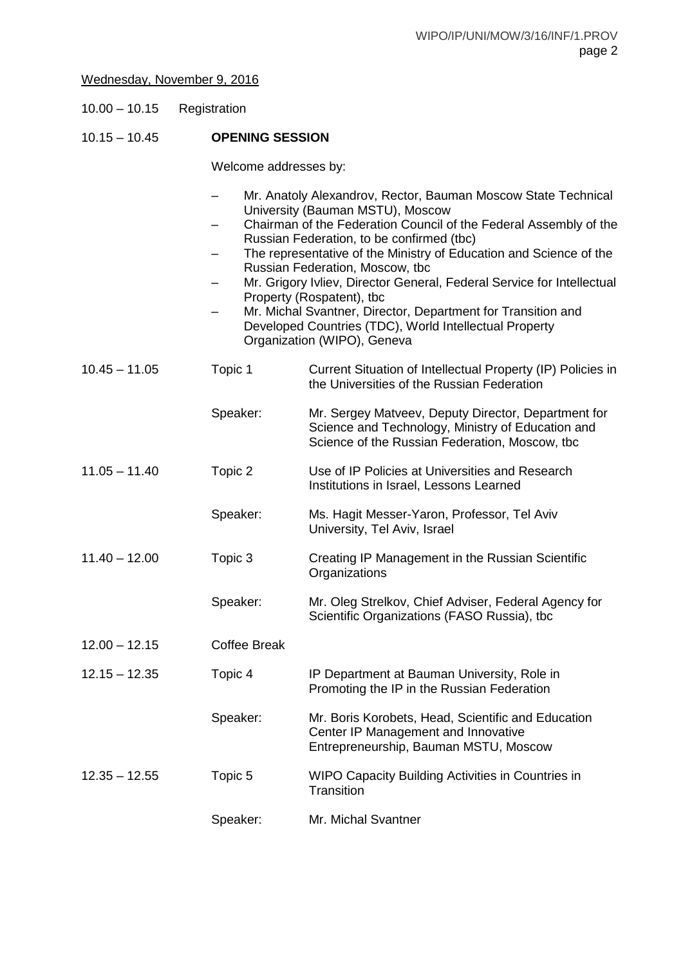## Wednesday, November 9, 2016

| $10.00 - 10.15$ | Registration |
|-----------------|--------------|
|-----------------|--------------|

### 10.15 – 10.45 **OPENING SESSION**

Welcome addresses by:

|                 |                     | Mr. Anatoly Alexandrov, Rector, Bauman Moscow State Technical<br>University (Bauman MSTU), Moscow<br>Chairman of the Federation Council of the Federal Assembly of the<br>Russian Federation, to be confirmed (tbc)<br>The representative of the Ministry of Education and Science of the<br>Russian Federation, Moscow, tbc<br>Mr. Grigory Ivliev, Director General, Federal Service for Intellectual<br>Property (Rospatent), tbc<br>Mr. Michal Svantner, Director, Department for Transition and<br>Developed Countries (TDC), World Intellectual Property<br>Organization (WIPO), Geneva |
|-----------------|---------------------|----------------------------------------------------------------------------------------------------------------------------------------------------------------------------------------------------------------------------------------------------------------------------------------------------------------------------------------------------------------------------------------------------------------------------------------------------------------------------------------------------------------------------------------------------------------------------------------------|
| $10.45 - 11.05$ | Topic 1             | Current Situation of Intellectual Property (IP) Policies in<br>the Universities of the Russian Federation                                                                                                                                                                                                                                                                                                                                                                                                                                                                                    |
|                 | Speaker:            | Mr. Sergey Matveev, Deputy Director, Department for<br>Science and Technology, Ministry of Education and<br>Science of the Russian Federation, Moscow, tbc                                                                                                                                                                                                                                                                                                                                                                                                                                   |
| $11.05 - 11.40$ | Topic 2             | Use of IP Policies at Universities and Research<br>Institutions in Israel, Lessons Learned                                                                                                                                                                                                                                                                                                                                                                                                                                                                                                   |
|                 | Speaker:            | Ms. Hagit Messer-Yaron, Professor, Tel Aviv<br>University, Tel Aviv, Israel                                                                                                                                                                                                                                                                                                                                                                                                                                                                                                                  |
| $11.40 - 12.00$ | Topic 3             | Creating IP Management in the Russian Scientific<br>Organizations                                                                                                                                                                                                                                                                                                                                                                                                                                                                                                                            |
|                 | Speaker:            | Mr. Oleg Strelkov, Chief Adviser, Federal Agency for<br>Scientific Organizations (FASO Russia), tbc                                                                                                                                                                                                                                                                                                                                                                                                                                                                                          |
| $12.00 - 12.15$ | <b>Coffee Break</b> |                                                                                                                                                                                                                                                                                                                                                                                                                                                                                                                                                                                              |
| $12.15 - 12.35$ | Topic 4             | IP Department at Bauman University, Role in<br>Promoting the IP in the Russian Federation                                                                                                                                                                                                                                                                                                                                                                                                                                                                                                    |
|                 | Speaker:            | Mr. Boris Korobets, Head, Scientific and Education<br>Center IP Management and Innovative<br>Entrepreneurship, Bauman MSTU, Moscow                                                                                                                                                                                                                                                                                                                                                                                                                                                           |
| $12.35 - 12.55$ | Topic 5             | WIPO Capacity Building Activities in Countries in<br>Transition                                                                                                                                                                                                                                                                                                                                                                                                                                                                                                                              |
|                 | Speaker:            | Mr. Michal Svantner                                                                                                                                                                                                                                                                                                                                                                                                                                                                                                                                                                          |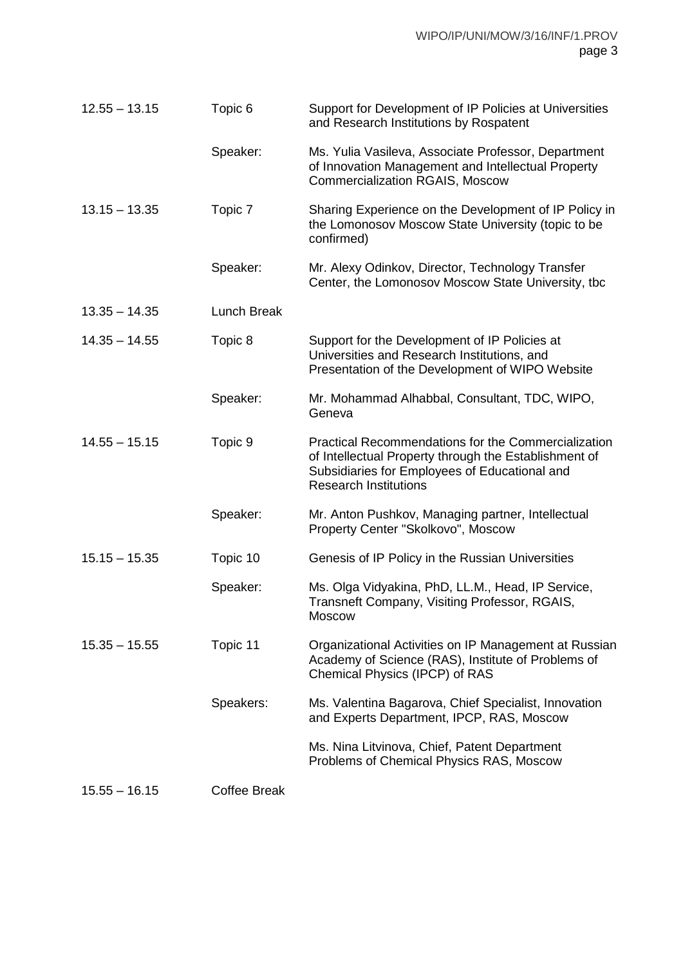| $12.55 - 13.15$ | Topic 6             | Support for Development of IP Policies at Universities<br>and Research Institutions by Rospatent                                                                                                     |
|-----------------|---------------------|------------------------------------------------------------------------------------------------------------------------------------------------------------------------------------------------------|
|                 | Speaker:            | Ms. Yulia Vasileva, Associate Professor, Department<br>of Innovation Management and Intellectual Property<br><b>Commercialization RGAIS, Moscow</b>                                                  |
| $13.15 - 13.35$ | Topic 7             | Sharing Experience on the Development of IP Policy in<br>the Lomonosov Moscow State University (topic to be<br>confirmed)                                                                            |
|                 | Speaker:            | Mr. Alexy Odinkov, Director, Technology Transfer<br>Center, the Lomonosov Moscow State University, tbc                                                                                               |
| $13.35 - 14.35$ | <b>Lunch Break</b>  |                                                                                                                                                                                                      |
| $14.35 - 14.55$ | Topic 8             | Support for the Development of IP Policies at<br>Universities and Research Institutions, and<br>Presentation of the Development of WIPO Website                                                      |
|                 | Speaker:            | Mr. Mohammad Alhabbal, Consultant, TDC, WIPO,<br>Geneva                                                                                                                                              |
| $14.55 - 15.15$ | Topic 9             | <b>Practical Recommendations for the Commercialization</b><br>of Intellectual Property through the Establishment of<br>Subsidiaries for Employees of Educational and<br><b>Research Institutions</b> |
|                 | Speaker:            | Mr. Anton Pushkov, Managing partner, Intellectual<br>Property Center "Skolkovo", Moscow                                                                                                              |
| $15.15 - 15.35$ | Topic 10            | Genesis of IP Policy in the Russian Universities                                                                                                                                                     |
|                 | Speaker:            | Ms. Olga Vidyakina, PhD, LL.M., Head, IP Service,<br>Transneft Company, Visiting Professor, RGAIS,<br><b>Moscow</b>                                                                                  |
| $15.35 - 15.55$ | Topic 11            | Organizational Activities on IP Management at Russian<br>Academy of Science (RAS), Institute of Problems of<br>Chemical Physics (IPCP) of RAS                                                        |
|                 | Speakers:           | Ms. Valentina Bagarova, Chief Specialist, Innovation<br>and Experts Department, IPCP, RAS, Moscow                                                                                                    |
|                 |                     | Ms. Nina Litvinova, Chief, Patent Department<br>Problems of Chemical Physics RAS, Moscow                                                                                                             |
| $15.55 - 16.15$ | <b>Coffee Break</b> |                                                                                                                                                                                                      |